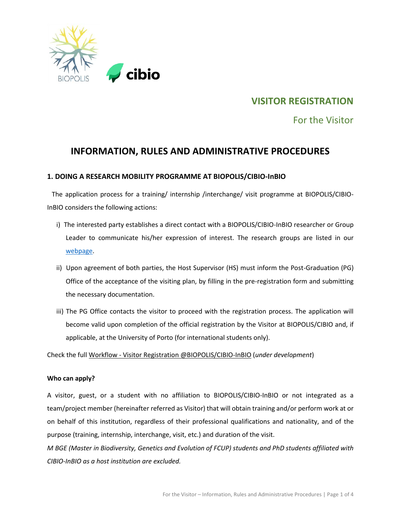

# **VISITOR REGISTRATION**

For the Visitor

# **INFORMATION, RULES AND ADMINISTRATIVE PROCEDURES**

# **1. DOING A RESEARCH MOBILITY PROGRAMME AT BIOPOLIS/CIBIO-InBIO**

The application process for a training/ internship /interchange/ visit programme at BIOPOLIS/CIBIO-InBIO considers the following actions:

- i) The interested party establishes a direct contact with a BIOPOLIS/CIBIO-InBIO researcher or Group Leader to communicate his/her expression of interest. The research groups are listed in our [webpage.](https://cibio.up.pt/en/groups/)
- ii) Upon agreement of both parties, the Host Supervisor (HS) must inform the Post-Graduation (PG) Office of the acceptance of the visiting plan, by filling in the pre-registration form and submitting the necessary documentation.
- iii) The PG Office contacts the visitor to proceed with the registration process. The application will become valid upon completion of the official registration by the Visitor at BIOPOLIS/CIBIO and, if applicable, at the University of Porto (for international students only).

Check the full Workflow - Visitor Registration @BIOPOLIS/CIBIO-InBIO (*under development*)

#### **Who can apply?**

A visitor, guest, or a student with no affiliation to BIOPOLIS/CIBIO-InBIO or not integrated as a team/project member (hereinafter referred as Visitor) that will obtain training and/or perform work at or on behalf of this institution, regardless of their professional qualifications and nationality, and of the purpose (training, internship, interchange, visit, etc.) and duration of the visit.

*M BGE (Master in Biodiversity, Genetics and Evolution of FCUP) students and PhD students affiliated with CIBIO-InBIO as a host institution are excluded.*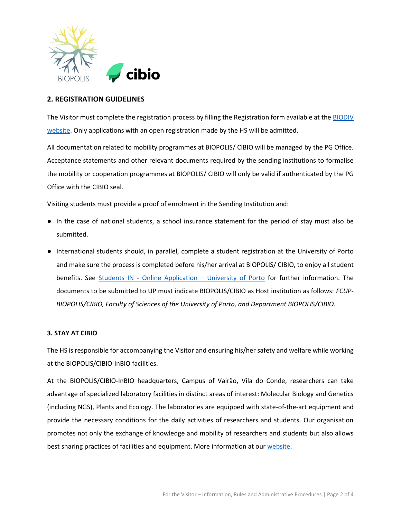

## **2. REGISTRATION GUIDELINES**

The Visitor must complete the registration process by filling the Registration form available at the BIODIV [website.](http://www.biodiv.pt/en/mobility-in/visitor/) Only applications with an open registration made by the HS will be admitted.

All documentation related to mobility programmes at BIOPOLIS/ CIBIO will be managed by the PG Office. Acceptance statements and other relevant documents required by the sending institutions to formalise the mobility or cooperation programmes at BIOPOLIS/ CIBIO will only be valid if authenticated by the PG Office with the CIBIO seal.

Visiting students must provide a proof of enrolment in the Sending Institution and:

- In the case of national students, a school insurance statement for the period of stay must also be submitted.
- International students should, in parallel, complete a student registration at the University of Porto and make sure the process is completed before his/her arrival at BIOPOLIS/ CIBIO, to enjoy all student benefits. See Students IN - Online Application – [University of Porto](https://sigarra.up.pt/up/en/WEB_BASE.GERA_PAGINA?p_pagina=122272) for further information. The documents to be submitted to UP must indicate BIOPOLIS/CIBIO as Host institution as follows: *FCUP-BIOPOLIS/CIBIO, Faculty of Sciences of the University of Porto, and Department BIOPOLIS/CIBIO.*

#### **3. STAY AT CIBIO**

The HS is responsible for accompanying the Visitor and ensuring his/her safety and welfare while working at the BIOPOLIS/CIBIO-InBIO facilities.

At the BIOPOLIS/CIBIO-InBIO headquarters, Campus of Vairão, Vila do Conde, researchers can take advantage of specialized laboratory facilities in distinct areas of interest: Molecular Biology and Genetics (including NGS), Plants and Ecology. The laboratories are equipped with state-of-the-art equipment and provide the necessary conditions for the daily activities of researchers and students. Our organisation promotes not only the exchange of knowledge and mobility of researchers and students but also allows best sharing practices of facilities and equipment. More information at our [website.](https://cibio.up.pt/en/research/research-facilities/)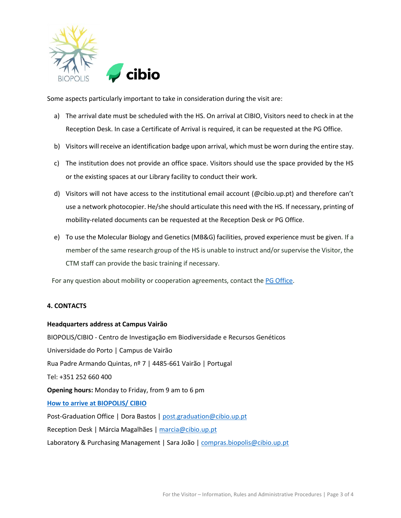

Some aspects particularly important to take in consideration during the visit are:

- a) The arrival date must be scheduled with the HS. On arrival at CIBIO, Visitors need to check in at the Reception Desk. In case a Certificate of Arrival is required, it can be requested at the PG Office.
- b) Visitors will receive an identification badge upon arrival, which must be worn during the entire stay.
- c) The institution does not provide an office space. Visitors should use the space provided by the HS or the existing spaces at our Library facility to conduct their work.
- d) Visitors will not have access to the institutional email account (@cibio.up.pt) and therefore can't use a network photocopier. He/she should articulate this need with the HS. If necessary, printing of mobility-related documents can be requested at the Reception Desk or PG Office.
- e) To use the Molecular Biology and Genetics (MB&G) facilities, proved experience must be given. If a member of the same research group of the HS is unable to instruct and/or supervise the Visitor, the CTM staff can provide the basic training if necessary.

For any question about mobility or cooperation agreements, contact the [PG Office.](mailto:post.graduation@cibio.up.pt)

#### **4. CONTACTS**

#### **Headquarters address at Campus Vairão**

BIOPOLIS/CIBIO - Centro de Investigação em Biodiversidade e Recursos Genéticos Universidade do Porto | Campus de Vairão Rua Padre Armando Quintas, nº 7 | 4485-661 Vairão | Portugal Tel: +351 252 660 400 **Opening hours:** Monday to Friday, from 9 am to 6 pm **How to arrive [at BIOPOLIS/ CIBIO](https://cibio.up.pt/en/about/how-to-get-here/)**  Post-Graduation Office | Dora Bastos | [post.graduation@cibio.up.pt](mailto:post.graduation@cibio.up.pt) Reception Desk | Márcia Magalhães | [marcia@cibio.up.pt](mailto:marcia@cibio.up.pt) Laboratory & Purchasing Management | Sara João | [compras.biopolis@cibio.up.pt](mailto:compras.biopolis@cibio.up.pt)